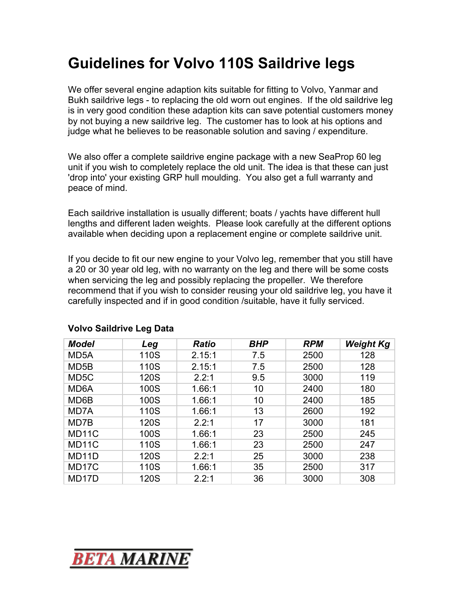## **Guidelines for Volvo 110S Saildrive legs**

We offer several engine adaption kits suitable for fitting to Volvo, Yanmar and Bukh saildrive legs - to replacing the old worn out engines. If the old saildrive leg is in very good condition these adaption kits can save potential customers money by not buying a new saildrive leg. The customer has to look at his options and judge what he believes to be reasonable solution and saving / expenditure.

We also offer a complete saildrive engine package with a new SeaProp 60 leg unit if you wish to completely replace the old unit. The idea is that these can just 'drop into' your existing GRP hull moulding. You also get a full warranty and peace of mind.

Each saildrive installation is usually different; boats / yachts have different hull lengths and different laden weights. Please look carefully at the different options available when deciding upon a replacement engine or complete saildrive unit.

If you decide to fit our new engine to your Volvo leg, remember that you still have a 20 or 30 year old leg, with no warranty on the leg and there will be some costs when servicing the leg and possibly replacing the propeller. We therefore recommend that if you wish to consider reusing your old saildrive leg, you have it carefully inspected and if in good condition /suitable, have it fully serviced.

| <b>Model</b>       | Leg  | <b>Ratio</b> | <b>BHP</b> | <b>RPM</b> | <b>Weight Kg</b> |
|--------------------|------|--------------|------------|------------|------------------|
| MD <sub>5</sub> A  | 110S | 2.15:1       | 7.5        | 2500       | 128              |
| MD <sub>5</sub> B  | 110S | 2.15:1       | 7.5        | 2500       | 128              |
| MD <sub>5</sub> C  | 120S | 2.2:1        | 9.5        | 3000       | 119              |
| MD <sub>6</sub> A  | 100S | 1.66:1       | 10         | 2400       | 180              |
| MD6B               | 100S | 1.66:1       | 10         | 2400       | 185              |
| MD7A               | 110S | 1.66:1       | 13         | 2600       | 192              |
| MD7B               | 120S | 2.2:1        | 17         | 3000       | 181              |
| MD <sub>11</sub> C | 100S | 1.66:1       | 23         | 2500       | 245              |
| MD <sub>11</sub> C | 110S | 1.66:1       | 23         | 2500       | 247              |
| MD <sub>11</sub> D | 120S | 2.2:1        | 25         | 3000       | 238              |
| MD <sub>17</sub> C | 110S | 1.66:1       | 35         | 2500       | 317              |
| MD <sub>17</sub> D | 120S | 2.2:1        | 36         | 3000       | 308              |

## **Volvo Saildrive Leg Data**